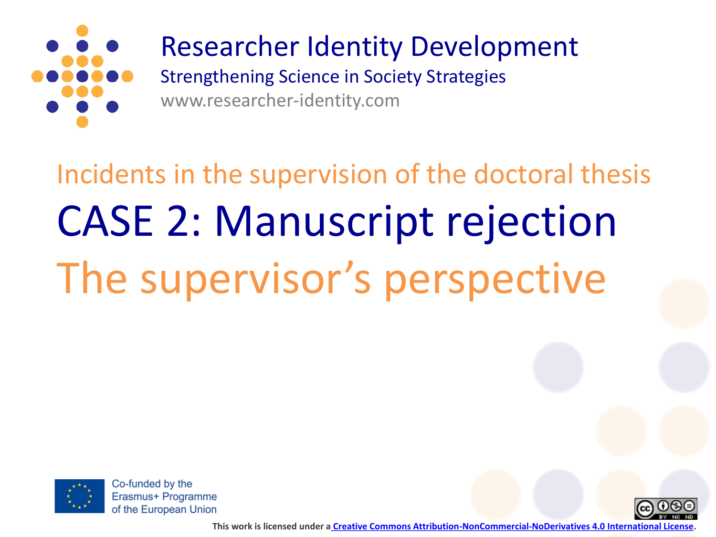

## Researcher Identity Development

Strengthening Science in Society Strategies www.researcher-identity.com

## Incidents in the supervision of the doctoral thesis CASE 2: Manuscript rejection The supervisor's perspective



Co-funded by the Erasmus+ Programme of the European Union



**This work is licensed under a [Creative Commons Attribution-NonCommercial-NoDerivatives 4.0 International License.](http://creativecommons.org/licenses/by-nc-nd/4.0/)**